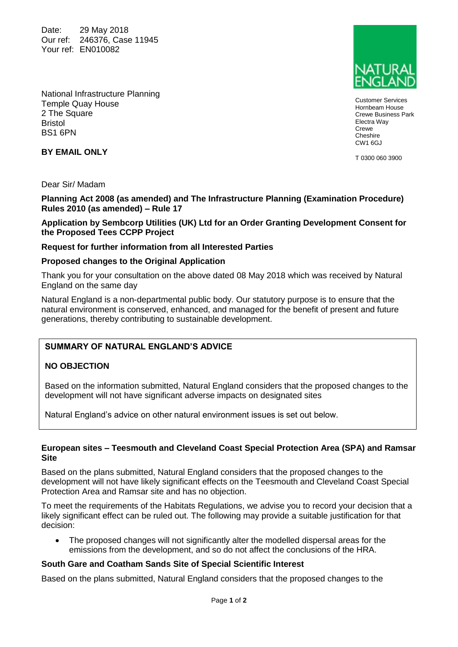Date: 29 May 2018 Our ref: 246376, Case 11945 Your ref: EN010082



Customer Services Hornbeam House Crewe Business Park Electra Way **Crewe Cheshire** CW1 6GJ

T 0300 060 3900

National Infrastructure Planning Temple Quay House 2 The Square Bristol BS1 6PN

# **BY EMAIL ONLY**

Dear Sir/ Madam

**Planning Act 2008 (as amended) and The Infrastructure Planning (Examination Procedure) Rules 2010 (as amended) – Rule 17**

## **Application by Sembcorp Utilities (UK) Ltd for an Order Granting Development Consent for the Proposed Tees CCPP Project**

## **Request for further information from all Interested Parties**

#### **Proposed changes to the Original Application**

Thank you for your consultation on the above dated 08 May 2018 which was received by Natural England on the same day

Natural England is a non-departmental public body. Our statutory purpose is to ensure that the natural environment is conserved, enhanced, and managed for the benefit of present and future generations, thereby contributing to sustainable development.

## **SUMMARY OF NATURAL ENGLAND'S ADVICE**

## **NO OBJECTION**

Based on the information submitted, Natural England considers that the proposed changes to the development will not have significant adverse impacts on designated sites

Natural England's advice on other natural environment issues is set out below.

#### **European sites – Teesmouth and Cleveland Coast Special Protection Area (SPA) and Ramsar Site**

Based on the plans submitted, Natural England considers that the proposed changes to the development will not have likely significant effects on the Teesmouth and Cleveland Coast Special Protection Area and Ramsar site and has no objection.

To meet the requirements of the Habitats Regulations, we advise you to record your decision that a likely significant effect can be ruled out. The following may provide a suitable justification for that decision:

• The proposed changes will not significantly alter the modelled dispersal areas for the emissions from the development, and so do not affect the conclusions of the HRA.

#### **South Gare and Coatham Sands Site of Special Scientific Interest**

Based on the plans submitted, Natural England considers that the proposed changes to the